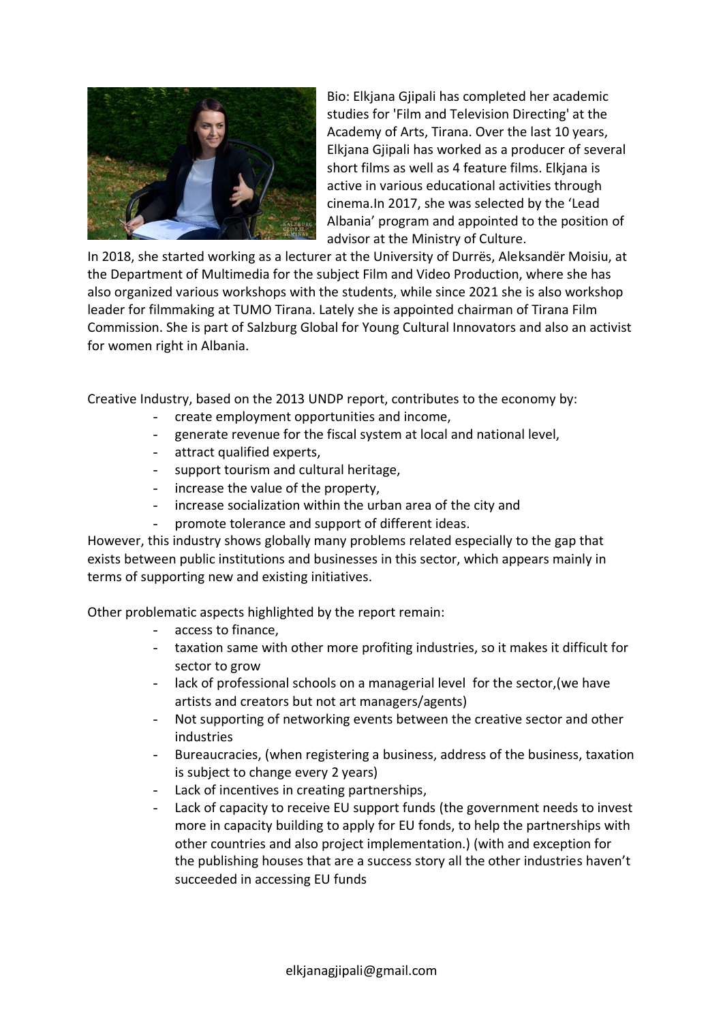

Bio: Elkjana Gjipali has completed her academic studies for 'Film and Television Directing' at the Academy of Arts, Tirana. Over the last 10 years, Elkjana Gjipali has worked as a producer of several short films as well as 4 feature films. Elkjana is active in various educational activities through cinema.In 2017, she was selected by the 'Lead Albania' program and appointed to the position of advisor at the Ministry of Culture.

In 2018, she started working as a lecturer at the University of Durrës, Aleksandër Moisiu, at the Department of Multimedia for the subject Film and Video Production, where she has also organized various workshops with the students, while since 2021 she is also workshop leader for filmmaking at TUMO Tirana. Lately she is appointed chairman of Tirana Film Commission. She is part of Salzburg Global for Young Cultural Innovators and also an activist for women right in Albania.

Creative Industry, based on the 2013 UNDP report, contributes to the economy by:

- create employment opportunities and income,
- generate revenue for the fiscal system at local and national level,
- attract qualified experts,
- support tourism and cultural heritage,
- increase the value of the property,
- increase socialization within the urban area of the city and
- promote tolerance and support of different ideas.

However, this industry shows globally many problems related especially to the gap that exists between public institutions and businesses in this sector, which appears mainly in terms of supporting new and existing initiatives.

Other problematic aspects highlighted by the report remain:

- access to finance,
- taxation same with other more profiting industries, so it makes it difficult for sector to grow
- lack of professional schools on a managerial level for the sector, (we have artists and creators but not art managers/agents)
- Not supporting of networking events between the creative sector and other industries
- Bureaucracies, (when registering a business, address of the business, taxation is subject to change every 2 years)
- Lack of incentives in creating partnerships,
- Lack of capacity to receive EU support funds (the government needs to invest more in capacity building to apply for EU fonds, to help the partnerships with other countries and also project implementation.) (with and exception for the publishing houses that are a success story all the other industries haven't succeeded in accessing EU funds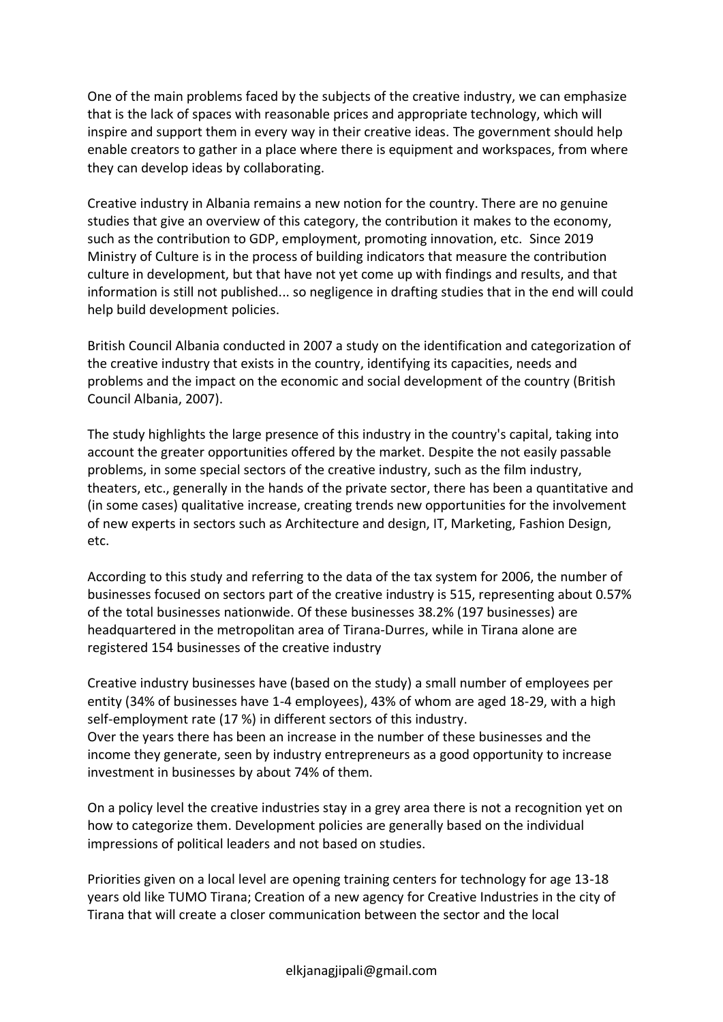One of the main problems faced by the subjects of the creative industry, we can emphasize that is the lack of spaces with reasonable prices and appropriate technology, which will inspire and support them in every way in their creative ideas. The government should help enable creators to gather in a place where there is equipment and workspaces, from where they can develop ideas by collaborating.

Creative industry in Albania remains a new notion for the country. There are no genuine studies that give an overview of this category, the contribution it makes to the economy, such as the contribution to GDP, employment, promoting innovation, etc. Since 2019 Ministry of Culture is in the process of building indicators that measure the contribution culture in development, but that have not yet come up with findings and results, and that information is still not published... so negligence in drafting studies that in the end will could help build development policies.

British Council Albania conducted in 2007 a study on the identification and categorization of the creative industry that exists in the country, identifying its capacities, needs and problems and the impact on the economic and social development of the country (British Council Albania, 2007).

The study highlights the large presence of this industry in the country's capital, taking into account the greater opportunities offered by the market. Despite the not easily passable problems, in some special sectors of the creative industry, such as the film industry, theaters, etc., generally in the hands of the private sector, there has been a quantitative and (in some cases) qualitative increase, creating trends new opportunities for the involvement of new experts in sectors such as Architecture and design, IT, Marketing, Fashion Design, etc.

According to this study and referring to the data of the tax system for 2006, the number of businesses focused on sectors part of the creative industry is 515, representing about 0.57% of the total businesses nationwide. Of these businesses 38.2% (197 businesses) are headquartered in the metropolitan area of Tirana-Durres, while in Tirana alone are registered 154 businesses of the creative industry

Creative industry businesses have (based on the study) a small number of employees per entity (34% of businesses have 1-4 employees), 43% of whom are aged 18-29, with a high self-employment rate (17 %) in different sectors of this industry. Over the years there has been an increase in the number of these businesses and the income they generate, seen by industry entrepreneurs as a good opportunity to increase investment in businesses by about 74% of them.

On a policy level the creative industries stay in a grey area there is not a recognition yet on how to categorize them. Development policies are generally based on the individual impressions of political leaders and not based on studies.

Priorities given on a local level are opening training centers for technology for age 13-18 years old like TUMO Tirana; Creation of a new agency for Creative Industries in the city of Tirana that will create a closer communication between the sector and the local